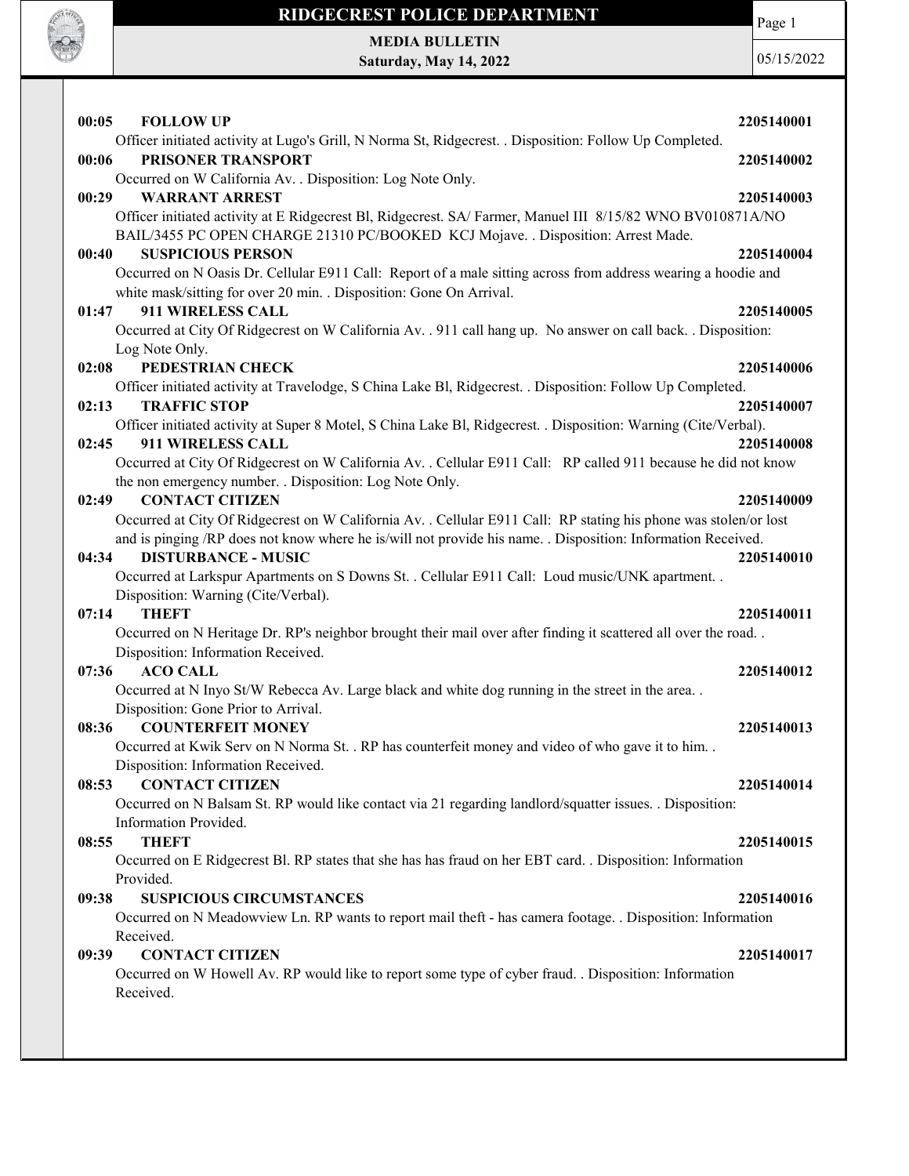

Page 1

MEDIA BULLETIN Saturday, May 14, 2022

| 00:05<br><b>FOLLOW UP</b>                                                                                                                                                                                                        | 2205140001 |
|----------------------------------------------------------------------------------------------------------------------------------------------------------------------------------------------------------------------------------|------------|
| Officer initiated activity at Lugo's Grill, N Norma St, Ridgecrest. . Disposition: Follow Up Completed.                                                                                                                          |            |
| PRISONER TRANSPORT<br>00:06                                                                                                                                                                                                      | 2205140002 |
| Occurred on W California Av. . Disposition: Log Note Only.                                                                                                                                                                       |            |
| <b>WARRANT ARREST</b><br>00:29                                                                                                                                                                                                   | 2205140003 |
| Officer initiated activity at E Ridgecrest Bl, Ridgecrest. SA/ Farmer, Manuel III 8/15/82 WNO BV010871A/NO                                                                                                                       |            |
| BAIL/3455 PC OPEN CHARGE 21310 PC/BOOKED KCJ Mojave. . Disposition: Arrest Made.                                                                                                                                                 |            |
| <b>SUSPICIOUS PERSON</b><br>00:40                                                                                                                                                                                                | 2205140004 |
| Occurred on N Oasis Dr. Cellular E911 Call: Report of a male sitting across from address wearing a hoodie and<br>white mask/sitting for over 20 min. . Disposition: Gone On Arrival.                                             |            |
| 01:47<br>911 WIRELESS CALL                                                                                                                                                                                                       | 2205140005 |
| Occurred at City Of Ridgecrest on W California Av. . 911 call hang up. No answer on call back. . Disposition:                                                                                                                    |            |
| Log Note Only.                                                                                                                                                                                                                   |            |
| PEDESTRIAN CHECK<br>02:08                                                                                                                                                                                                        | 2205140006 |
| Officer initiated activity at Travelodge, S China Lake Bl, Ridgecrest. . Disposition: Follow Up Completed.                                                                                                                       |            |
| <b>TRAFFIC STOP</b><br>02:13                                                                                                                                                                                                     | 2205140007 |
| Officer initiated activity at Super 8 Motel, S China Lake Bl, Ridgecrest. . Disposition: Warning (Cite/Verbal).                                                                                                                  |            |
| 911 WIRELESS CALL<br>02:45                                                                                                                                                                                                       | 2205140008 |
| Occurred at City Of Ridgecrest on W California Av. . Cellular E911 Call: RP called 911 because he did not know                                                                                                                   |            |
| the non emergency number. . Disposition: Log Note Only.                                                                                                                                                                          |            |
| <b>CONTACT CITIZEN</b><br>02:49                                                                                                                                                                                                  | 2205140009 |
| Occurred at City Of Ridgecrest on W California Av. . Cellular E911 Call: RP stating his phone was stolen/or lost<br>and is pinging /RP does not know where he is/will not provide his name. . Disposition: Information Received. |            |
| <b>DISTURBANCE - MUSIC</b><br>04:34                                                                                                                                                                                              | 2205140010 |
| Occurred at Larkspur Apartments on S Downs St. . Cellular E911 Call: Loud music/UNK apartment. .                                                                                                                                 |            |
| Disposition: Warning (Cite/Verbal).                                                                                                                                                                                              |            |
| 07:14<br><b>THEFT</b>                                                                                                                                                                                                            | 2205140011 |
| Occurred on N Heritage Dr. RP's neighbor brought their mail over after finding it scattered all over the road                                                                                                                    |            |
| Disposition: Information Received.                                                                                                                                                                                               |            |
| <b>ACO CALL</b><br>07:36                                                                                                                                                                                                         | 2205140012 |
| Occurred at N Inyo St/W Rebecca Av. Large black and white dog running in the street in the area                                                                                                                                  |            |
| Disposition: Gone Prior to Arrival.                                                                                                                                                                                              |            |
| <b>COUNTERFEIT MONEY</b><br>08:36                                                                                                                                                                                                | 2205140013 |
| Occurred at Kwik Serv on N Norma St. . RP has counterfeit money and video of who gave it to him. .                                                                                                                               |            |
| Disposition: Information Received.<br><b>CONTACT CITIZEN</b><br>08:53                                                                                                                                                            | 2205140014 |
| Occurred on N Balsam St. RP would like contact via 21 regarding landlord/squatter issues. . Disposition:                                                                                                                         |            |
| Information Provided.                                                                                                                                                                                                            |            |
| <b>THEFT</b><br>08:55                                                                                                                                                                                                            | 2205140015 |
| Occurred on E Ridgecrest Bl. RP states that she has has fraud on her EBT card. . Disposition: Information                                                                                                                        |            |
| Provided.                                                                                                                                                                                                                        |            |
| <b>SUSPICIOUS CIRCUMSTANCES</b><br>09:38                                                                                                                                                                                         | 2205140016 |
| Occurred on N Meadowview Ln. RP wants to report mail theft - has camera footage. . Disposition: Information                                                                                                                      |            |
| Received.                                                                                                                                                                                                                        |            |
| <b>CONTACT CITIZEN</b><br>09:39                                                                                                                                                                                                  | 2205140017 |
| Occurred on W Howell Av. RP would like to report some type of cyber fraud. . Disposition: Information                                                                                                                            |            |
| Received.                                                                                                                                                                                                                        |            |
|                                                                                                                                                                                                                                  |            |
|                                                                                                                                                                                                                                  |            |
|                                                                                                                                                                                                                                  |            |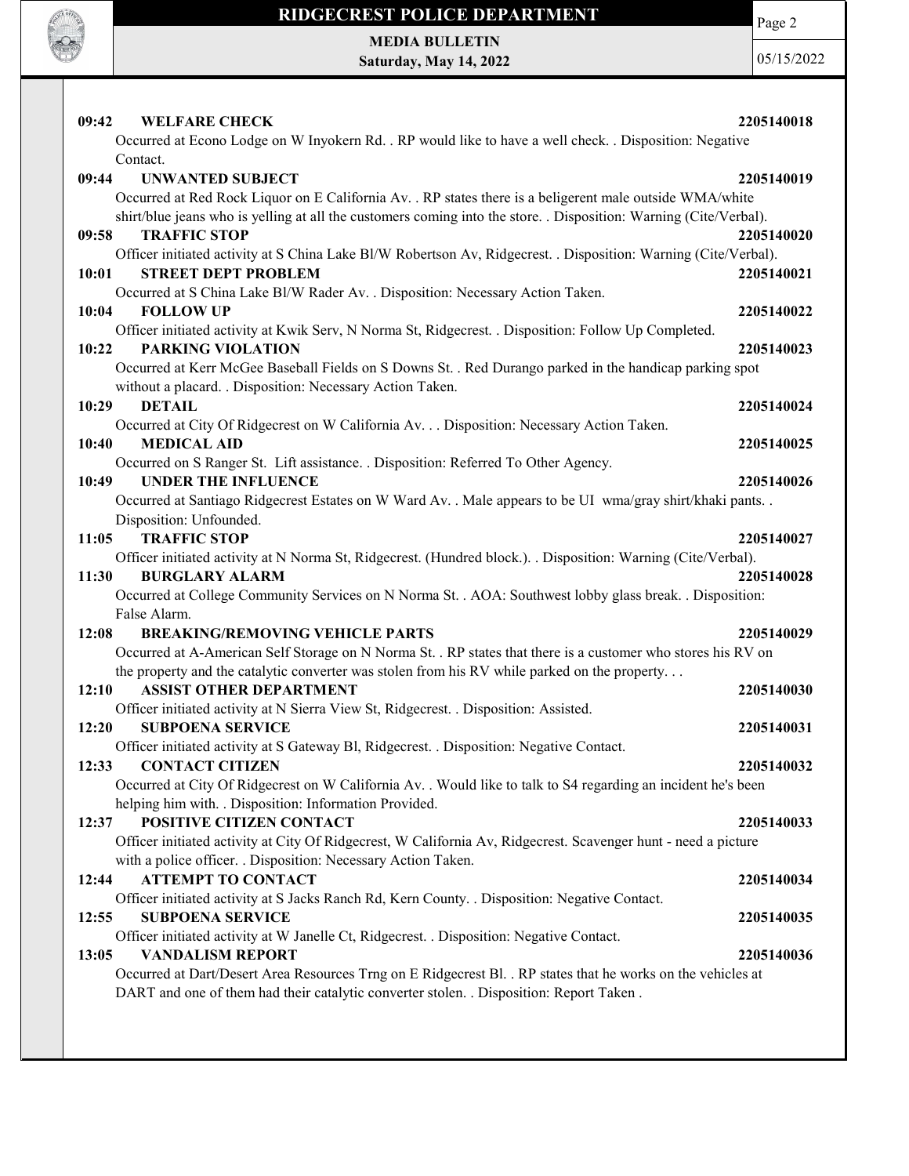

Page 2

MEDIA BULLETIN Saturday, May 14, 2022

| <b>WELFARE CHECK</b><br>09:42                                                                                                                                                   | 2205140018 |
|---------------------------------------------------------------------------------------------------------------------------------------------------------------------------------|------------|
| Occurred at Econo Lodge on W Inyokern Rd. . RP would like to have a well check. . Disposition: Negative                                                                         |            |
| Contact.                                                                                                                                                                        |            |
| 09:44<br><b>UNWANTED SUBJECT</b>                                                                                                                                                | 2205140019 |
| Occurred at Red Rock Liquor on E California Av. . RP states there is a beligerent male outside WMA/white                                                                        |            |
| shirt/blue jeans who is yelling at all the customers coming into the store. . Disposition: Warning (Cite/Verbal).                                                               |            |
| <b>TRAFFIC STOP</b><br>09:58                                                                                                                                                    | 2205140020 |
| Officer initiated activity at S China Lake Bl/W Robertson Av, Ridgecrest. . Disposition: Warning (Cite/Verbal).                                                                 |            |
| <b>STREET DEPT PROBLEM</b><br>10:01                                                                                                                                             | 2205140021 |
| Occurred at S China Lake Bl/W Rader Av. . Disposition: Necessary Action Taken.                                                                                                  |            |
| <b>FOLLOW UP</b><br>10:04                                                                                                                                                       | 2205140022 |
| Officer initiated activity at Kwik Serv, N Norma St, Ridgecrest. . Disposition: Follow Up Completed.                                                                            |            |
| <b>PARKING VIOLATION</b><br>10:22                                                                                                                                               | 2205140023 |
| Occurred at Kerr McGee Baseball Fields on S Downs St. . Red Durango parked in the handicap parking spot                                                                         |            |
| without a placard. . Disposition: Necessary Action Taken.                                                                                                                       |            |
| 10:29<br><b>DETAIL</b>                                                                                                                                                          | 2205140024 |
| Occurred at City Of Ridgecrest on W California Av. Disposition: Necessary Action Taken.                                                                                         |            |
| <b>MEDICAL AID</b><br>10:40                                                                                                                                                     | 2205140025 |
| Occurred on S Ranger St. Lift assistance. . Disposition: Referred To Other Agency.                                                                                              |            |
| <b>UNDER THE INFLUENCE</b><br>10:49                                                                                                                                             | 2205140026 |
| Occurred at Santiago Ridgecrest Estates on W Ward Av. . Male appears to be UI wma/gray shirt/khaki pants. .                                                                     |            |
| Disposition: Unfounded.                                                                                                                                                         |            |
| <b>TRAFFIC STOP</b><br>11:05                                                                                                                                                    | 2205140027 |
| Officer initiated activity at N Norma St, Ridgecrest. (Hundred block.). . Disposition: Warning (Cite/Verbal).                                                                   |            |
| 11:30<br><b>BURGLARY ALARM</b>                                                                                                                                                  | 2205140028 |
| Occurred at College Community Services on N Norma St. . AOA: Southwest lobby glass break. . Disposition:                                                                        |            |
| False Alarm.                                                                                                                                                                    |            |
| <b>BREAKING/REMOVING VEHICLE PARTS</b><br>12:08                                                                                                                                 | 2205140029 |
| Occurred at A-American Self Storage on N Norma St. . RP states that there is a customer who stores his RV on                                                                    |            |
| the property and the catalytic converter was stolen from his RV while parked on the property                                                                                    |            |
| <b>ASSIST OTHER DEPARTMENT</b><br>12:10                                                                                                                                         | 2205140030 |
| Officer initiated activity at N Sierra View St, Ridgecrest. . Disposition: Assisted.                                                                                            |            |
| 12:20<br><b>SUBPOENA SERVICE</b>                                                                                                                                                | 2205140031 |
| Officer initiated activity at S Gateway Bl, Ridgecrest. . Disposition: Negative Contact.                                                                                        |            |
| 12:33 CONTACT CITIZEN                                                                                                                                                           | 2205140032 |
| Occurred at City Of Ridgecrest on W California Av. . Would like to talk to S4 regarding an incident he's been<br>helping him with. . Disposition: Information Provided.         |            |
| POSITIVE CITIZEN CONTACT                                                                                                                                                        |            |
| 12:37                                                                                                                                                                           | 2205140033 |
| Officer initiated activity at City Of Ridgecrest, W California Av, Ridgecrest. Scavenger hunt - need a picture<br>with a police officer. . Disposition: Necessary Action Taken. |            |
| <b>ATTEMPT TO CONTACT</b><br>12:44                                                                                                                                              | 2205140034 |
| Officer initiated activity at S Jacks Ranch Rd, Kern County. . Disposition: Negative Contact.                                                                                   |            |
| <b>SUBPOENA SERVICE</b><br>12:55                                                                                                                                                | 2205140035 |
| Officer initiated activity at W Janelle Ct, Ridgecrest. . Disposition: Negative Contact.                                                                                        |            |
| 13:05<br><b>VANDALISM REPORT</b>                                                                                                                                                | 2205140036 |
| Occurred at Dart/Desert Area Resources Trng on E Ridgecrest Bl. . RP states that he works on the vehicles at                                                                    |            |
| DART and one of them had their catalytic converter stolen. . Disposition: Report Taken.                                                                                         |            |
|                                                                                                                                                                                 |            |
|                                                                                                                                                                                 |            |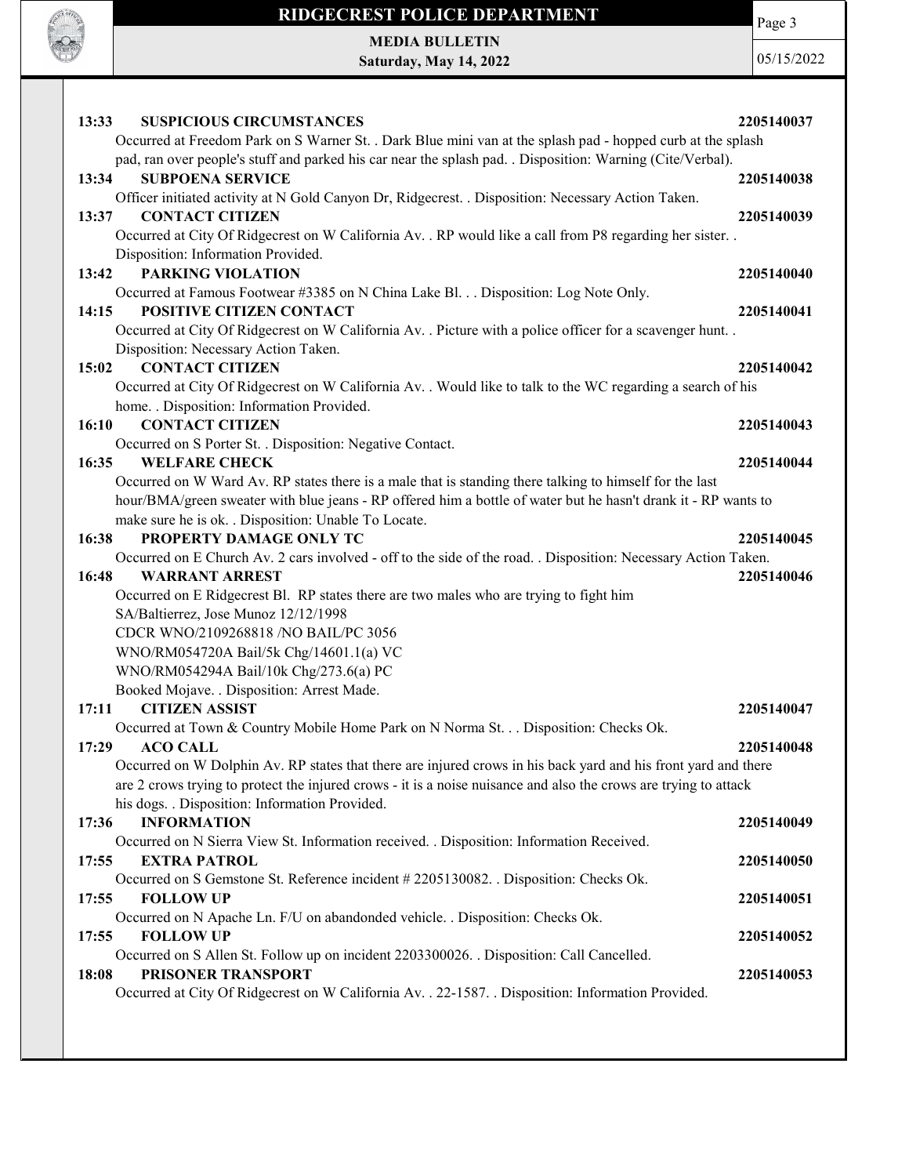

# RIDGECREST POLICE DEPARTMENT MEDIA BULLETIN

Saturday, May 14, 2022

Page 3

| 13:33<br><b>SUSPICIOUS CIRCUMSTANCES</b>                                                                                                                                                                                           | 2205140037 |
|------------------------------------------------------------------------------------------------------------------------------------------------------------------------------------------------------------------------------------|------------|
| Occurred at Freedom Park on S Warner St. . Dark Blue mini van at the splash pad - hopped curb at the splash<br>pad, ran over people's stuff and parked his car near the splash pad. . Disposition: Warning (Cite/Verbal).          |            |
| 13:34<br><b>SUBPOENA SERVICE</b><br>Officer initiated activity at N Gold Canyon Dr, Ridgecrest. . Disposition: Necessary Action Taken.                                                                                             | 2205140038 |
| 13:37<br><b>CONTACT CITIZEN</b>                                                                                                                                                                                                    | 2205140039 |
| Occurred at City Of Ridgecrest on W California Av. . RP would like a call from P8 regarding her sister. .<br>Disposition: Information Provided.                                                                                    |            |
| <b>PARKING VIOLATION</b><br>13:42                                                                                                                                                                                                  | 2205140040 |
| Occurred at Famous Footwear #3385 on N China Lake Bl. Disposition: Log Note Only.<br>POSITIVE CITIZEN CONTACT<br>14:15                                                                                                             | 2205140041 |
| Occurred at City Of Ridgecrest on W California Av. . Picture with a police officer for a scavenger hunt. .<br>Disposition: Necessary Action Taken.                                                                                 |            |
| <b>CONTACT CITIZEN</b><br>15:02                                                                                                                                                                                                    | 2205140042 |
| Occurred at City Of Ridgecrest on W California Av. . Would like to talk to the WC regarding a search of his<br>home. . Disposition: Information Provided.                                                                          |            |
| <b>CONTACT CITIZEN</b><br>16:10                                                                                                                                                                                                    | 2205140043 |
| Occurred on S Porter St. . Disposition: Negative Contact.<br>16:35<br><b>WELFARE CHECK</b>                                                                                                                                         | 2205140044 |
| Occurred on W Ward Av. RP states there is a male that is standing there talking to himself for the last                                                                                                                            |            |
| hour/BMA/green sweater with blue jeans - RP offered him a bottle of water but he hasn't drank it - RP wants to<br>make sure he is ok. . Disposition: Unable To Locate.                                                             |            |
| PROPERTY DAMAGE ONLY TC<br>16:38<br>Occurred on E Church Av. 2 cars involved - off to the side of the road. . Disposition: Necessary Action Taken.                                                                                 | 2205140045 |
| 16:48<br><b>WARRANT ARREST</b>                                                                                                                                                                                                     | 2205140046 |
| Occurred on E Ridgecrest Bl. RP states there are two males who are trying to fight him<br>SA/Baltierrez, Jose Munoz 12/12/1998                                                                                                     |            |
| CDCR WNO/2109268818 /NO BAIL/PC 3056                                                                                                                                                                                               |            |
| WNO/RM054720A Bail/5k Chg/14601.1(a) VC<br>WNO/RM054294A Bail/10k Chg/273.6(a) PC                                                                                                                                                  |            |
| Booked Mojave. . Disposition: Arrest Made.                                                                                                                                                                                         |            |
| <b>CITIZEN ASSIST</b><br>17:11                                                                                                                                                                                                     | 2205140047 |
| Occurred at Town & Country Mobile Home Park on N Norma St. Disposition: Checks Ok.<br><b>ACO CALL</b><br>17:29                                                                                                                     | 2205140048 |
| Occurred on W Dolphin Av. RP states that there are injured crows in his back yard and his front yard and there<br>are 2 crows trying to protect the injured crows - it is a noise nuisance and also the crows are trying to attack |            |
| his dogs. . Disposition: Information Provided.                                                                                                                                                                                     |            |
| <b>INFORMATION</b><br>17:36                                                                                                                                                                                                        | 2205140049 |
| Occurred on N Sierra View St. Information received. . Disposition: Information Received.<br>17:55<br><b>EXTRA PATROL</b>                                                                                                           | 2205140050 |
| Occurred on S Gemstone St. Reference incident #2205130082. . Disposition: Checks Ok.                                                                                                                                               |            |
| <b>FOLLOW UP</b><br>17:55<br>Occurred on N Apache Ln. F/U on abandonded vehicle. . Disposition: Checks Ok.                                                                                                                         | 2205140051 |
| <b>FOLLOW UP</b><br>17:55                                                                                                                                                                                                          | 2205140052 |
| Occurred on S Allen St. Follow up on incident 2203300026. . Disposition: Call Cancelled.<br>18:08<br>PRISONER TRANSPORT                                                                                                            | 2205140053 |
| Occurred at City Of Ridgecrest on W California Av. . 22-1587. . Disposition: Information Provided.                                                                                                                                 |            |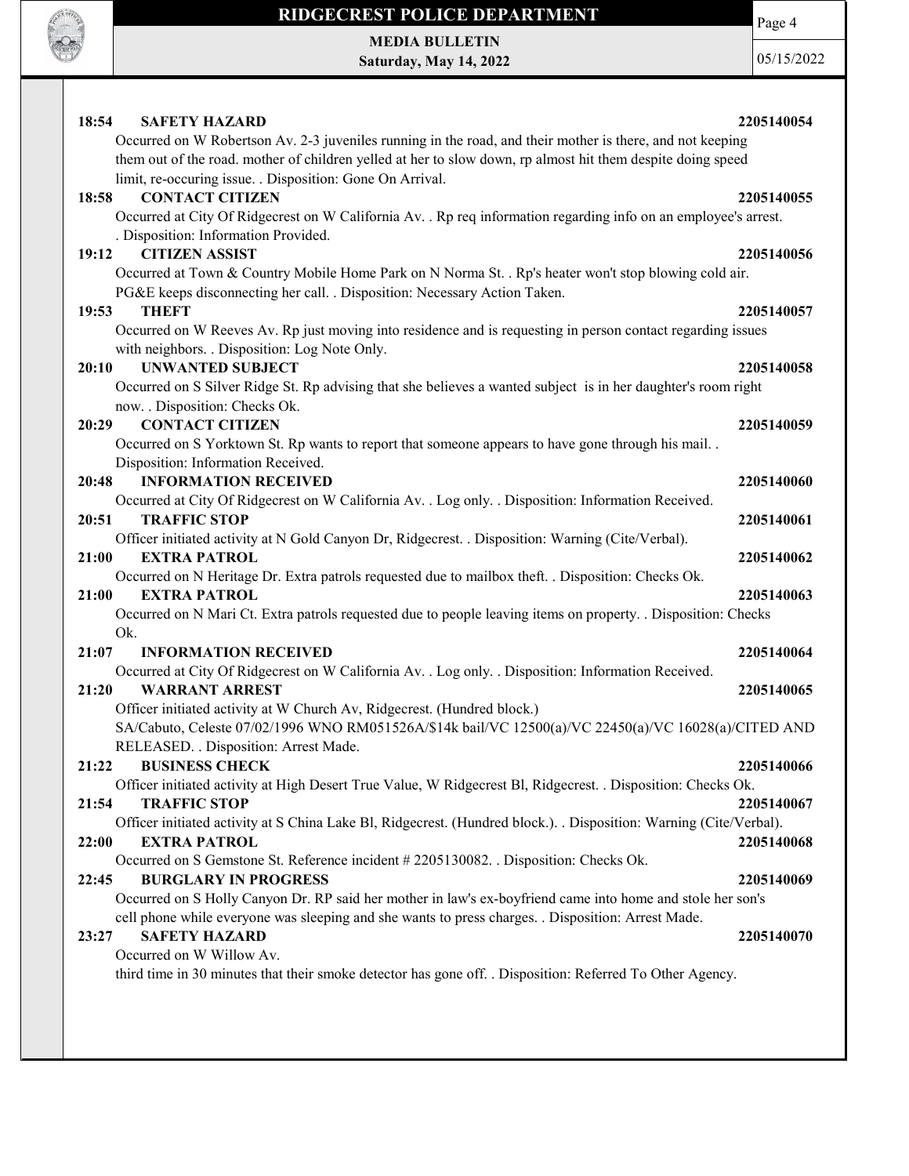

MEDIA BULLETIN Saturday, May 14, 2022 Page 4

| 18:54<br><b>SAFETY HAZARD</b><br>Occurred on W Robertson Av. 2-3 juveniles running in the road, and their mother is there, and not keeping<br>them out of the road. mother of children yelled at her to slow down, rp almost hit them despite doing speed | 2205140054               |
|-----------------------------------------------------------------------------------------------------------------------------------------------------------------------------------------------------------------------------------------------------------|--------------------------|
| limit, re-occuring issue. . Disposition: Gone On Arrival.<br><b>CONTACT CITIZEN</b><br>18:58<br>Occurred at City Of Ridgecrest on W California Av. . Rp req information regarding info on an employee's arrest.<br>. Disposition: Information Provided.   | 2205140055               |
| <b>CITIZEN ASSIST</b><br>19:12<br>Occurred at Town & Country Mobile Home Park on N Norma St. . Rp's heater won't stop blowing cold air.<br>PG&E keeps disconnecting her call. . Disposition: Necessary Action Taken.                                      | 2205140056               |
| 19:53<br>THEFT<br>Occurred on W Reeves Av. Rp just moving into residence and is requesting in person contact regarding issues<br>with neighbors. . Disposition: Log Note Only.                                                                            | 2205140057               |
| <b>UNWANTED SUBJECT</b><br>20:10<br>Occurred on S Silver Ridge St. Rp advising that she believes a wanted subject is in her daughter's room right<br>now. . Disposition: Checks Ok.                                                                       | 2205140058               |
| <b>CONTACT CITIZEN</b><br>20:29<br>Occurred on S Yorktown St. Rp wants to report that someone appears to have gone through his mail. .<br>Disposition: Information Received.                                                                              | 2205140059               |
| 20:48<br><b>INFORMATION RECEIVED</b><br>Occurred at City Of Ridgecrest on W California Av. . Log only. . Disposition: Information Received.<br><b>TRAFFIC STOP</b><br>20:51                                                                               | 2205140060<br>2205140061 |
| Officer initiated activity at N Gold Canyon Dr, Ridgecrest. . Disposition: Warning (Cite/Verbal).<br>21:00<br><b>EXTRA PATROL</b><br>Occurred on N Heritage Dr. Extra patrols requested due to mailbox theft. . Disposition: Checks Ok.                   | 2205140062               |
| 21:00<br><b>EXTRA PATROL</b><br>Occurred on N Mari Ct. Extra patrols requested due to people leaving items on property. . Disposition: Checks<br>Ok.                                                                                                      | 2205140063               |
| 21:07<br><b>INFORMATION RECEIVED</b><br>Occurred at City Of Ridgecrest on W California Av. . Log only. . Disposition: Information Received.<br>21:20<br><b>WARRANT ARREST</b>                                                                             | 2205140064<br>2205140065 |
| Officer initiated activity at W Church Av, Ridgecrest. (Hundred block.)<br>SA/Cabuto, Celeste 07/02/1996 WNO RM051526A/\$14k bail/VC 12500(a)/VC 22450(a)/VC 16028(a)/CITED AND<br>RELEASED. . Disposition: Arrest Made.                                  |                          |
| <b>BUSINESS CHECK</b><br>21:22<br>Officer initiated activity at High Desert True Value, W Ridgecrest Bl, Ridgecrest. . Disposition: Checks Ok.<br><b>TRAFFIC STOP</b><br>21:54                                                                            | 2205140066<br>2205140067 |
| Officer initiated activity at S China Lake Bl, Ridgecrest. (Hundred block.). . Disposition: Warning (Cite/Verbal).<br>22:00<br><b>EXTRA PATROL</b><br>Occurred on S Gemstone St. Reference incident #2205130082. . Disposition: Checks Ok.                | 2205140068               |
| <b>BURGLARY IN PROGRESS</b><br>22:45<br>Occurred on S Holly Canyon Dr. RP said her mother in law's ex-boyfriend came into home and stole her son's                                                                                                        | 2205140069               |
| cell phone while everyone was sleeping and she wants to press charges. . Disposition: Arrest Made.<br><b>SAFETY HAZARD</b><br>23:27<br>Occurred on W Willow Av.                                                                                           | 2205140070               |
| third time in 30 minutes that their smoke detector has gone off. . Disposition: Referred To Other Agency.                                                                                                                                                 |                          |